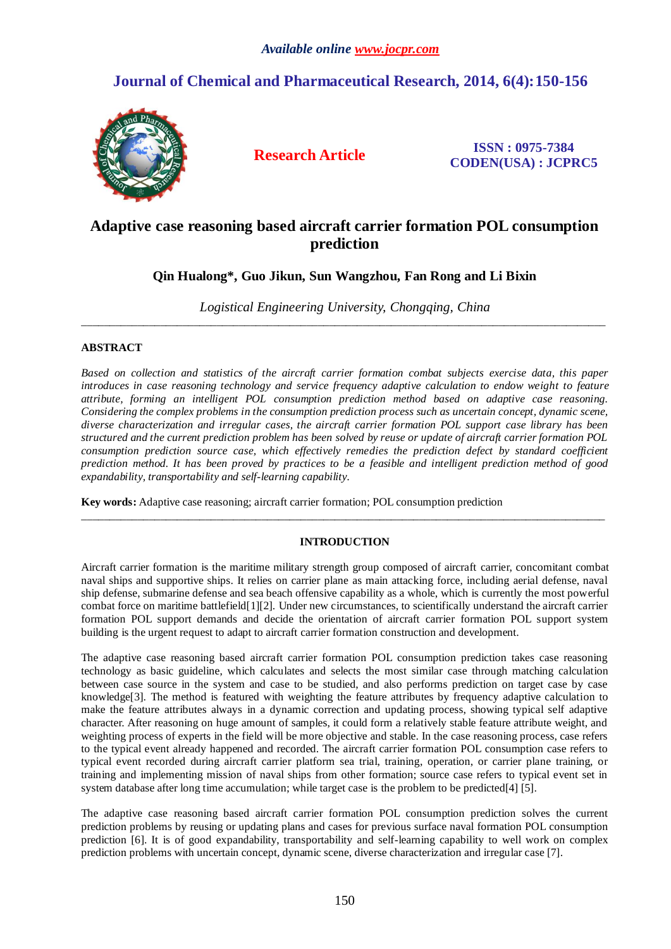# *Available online www.jocpr.com*

# **Journal of Chemical and Pharmaceutical Research, 2014, 6(4):150-156**



**Research Article ISSN : 0975-7384 CODEN(USA) : JCPRC5**

# **Adaptive case reasoning based aircraft carrier formation POL consumption prediction**

# **Qin Hualong\*, Guo Jikun, Sun Wangzhou, Fan Rong and Li Bixin**

*Logistical Engineering University, Chongqing, China* \_\_\_\_\_\_\_\_\_\_\_\_\_\_\_\_\_\_\_\_\_\_\_\_\_\_\_\_\_\_\_\_\_\_\_\_\_\_\_\_\_\_\_\_\_\_\_\_\_\_\_\_\_\_\_\_\_\_\_\_\_\_\_\_\_\_\_\_\_\_\_\_\_\_\_\_\_\_\_\_\_\_\_\_\_\_\_\_\_\_\_\_\_

# **ABSTRACT**

*Based on collection and statistics of the aircraft carrier formation combat subjects exercise data, this paper introduces in case reasoning technology and service frequency adaptive calculation to endow weight to feature attribute, forming an intelligent POL consumption prediction method based on adaptive case reasoning. Considering the complex problems in the consumption prediction process such as uncertain concept, dynamic scene, diverse characterization and irregular cases, the aircraft carrier formation POL support case library has been structured and the current prediction problem has been solved by reuse or update of aircraft carrier formation POL consumption prediction source case, which effectively remedies the prediction defect by standard coefficient prediction method. It has been proved by practices to be a feasible and intelligent prediction method of good expandability, transportability and self-learning capability.*

**Key words:** Adaptive case reasoning; aircraft carrier formation; POL consumption prediction

# **INTRODUCTION**

\_\_\_\_\_\_\_\_\_\_\_\_\_\_\_\_\_\_\_\_\_\_\_\_\_\_\_\_\_\_\_\_\_\_\_\_\_\_\_\_\_\_\_\_\_\_\_\_\_\_\_\_\_\_\_\_\_\_\_\_\_\_\_\_\_\_\_\_\_\_\_\_\_\_\_\_\_\_\_\_\_\_\_\_\_\_\_\_\_\_\_\_\_

Aircraft carrier formation is the maritime military strength group composed of aircraft carrier, concomitant combat naval ships and supportive ships. It relies on carrier plane as main attacking force, including aerial defense, naval ship defense, submarine defense and sea beach offensive capability as a whole, which is currently the most powerful combat force on maritime battlefield[1][2]. Under new circumstances, to scientifically understand the aircraft carrier formation POL support demands and decide the orientation of aircraft carrier formation POL support system building is the urgent request to adapt to aircraft carrier formation construction and development.

The adaptive case reasoning based aircraft carrier formation POL consumption prediction takes case reasoning technology as basic guideline, which calculates and selects the most similar case through matching calculation between case source in the system and case to be studied, and also performs prediction on target case by case knowledge<sup>[3]</sup>. The method is featured with weighting the feature attributes by frequency adaptive calculation to make the feature attributes always in a dynamic correction and updating process, showing typical self adaptive character. After reasoning on huge amount of samples, it could form a relatively stable feature attribute weight, and weighting process of experts in the field will be more objective and stable. In the case reasoning process, case refers to the typical event already happened and recorded. The aircraft carrier formation POL consumption case refers to typical event recorded during aircraft carrier platform sea trial, training, operation, or carrier plane training, or training and implementing mission of naval ships from other formation; source case refers to typical event set in system database after long time accumulation; while target case is the problem to be predicted[4] [5].

The adaptive case reasoning based aircraft carrier formation POL consumption prediction solves the current prediction problems by reusing or updating plans and cases for previous surface naval formation POL consumption prediction [6]. It is of good expandability, transportability and self-learning capability to well work on complex prediction problems with uncertain concept, dynamic scene, diverse characterization and irregular case [7].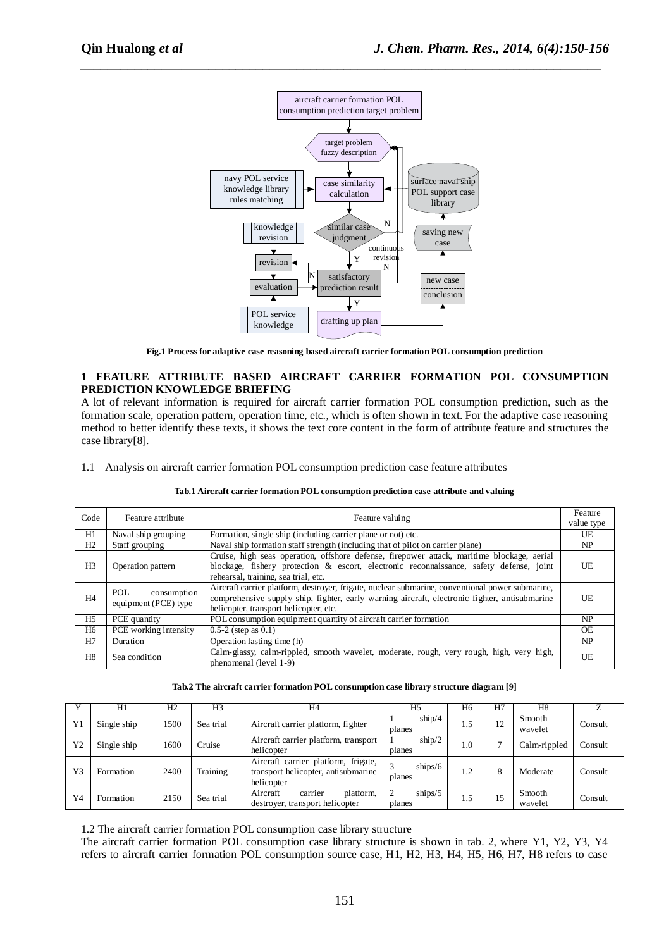

*\_\_\_\_\_\_\_\_\_\_\_\_\_\_\_\_\_\_\_\_\_\_\_\_\_\_\_\_\_\_\_\_\_\_\_\_\_\_\_\_\_\_\_\_\_\_\_\_\_\_\_\_\_\_\_\_\_\_\_\_\_\_\_\_\_\_\_\_\_\_\_\_\_\_\_\_\_*

**Fig.1 Process for adaptive case reasoning based aircraft carrier formation POL consumption prediction**

# **1 FEATURE ATTRIBUTE BASED AIRCRAFT CARRIER FORMATION POL CONSUMPTION PREDICTION KNOWLEDGE BRIEFING**

A lot of relevant information is required for aircraft carrier formation POL consumption prediction, such as the formation scale, operation pattern, operation time, etc., which is often shown in text. For the adaptive case reasoning method to better identify these texts, it shows the text core content in the form of attribute feature and structures the case library[8].

1.1 Analysis on aircraft carrier formation POL consumption prediction case feature attributes

| Code           | Feature attribute     | Feature valuing                                                                                 | Feature    |
|----------------|-----------------------|-------------------------------------------------------------------------------------------------|------------|
|                |                       |                                                                                                 | value type |
| H1             | Naval ship grouping   | Formation, single ship (including carrier plane or not) etc.                                    | UE         |
| H2             | Staff grouping        | Naval ship formation staff strength (including that of pilot on carrier plane)                  | NP         |
|                |                       | Cruise, high seas operation, offshore defense, firepower attack, maritime blockage, aerial      |            |
| H <sub>3</sub> | Operation pattern     | blockage, fishery protection $\&$ escort, electronic reconnaissance, safety defense, joint      | UE         |
|                |                       | rehearsal, training, sea trial, etc.                                                            |            |
|                | POL.<br>consumption   | Aircraft carrier platform, destroyer, frigate, nuclear submarine, conventional power submarine, |            |
| H <sub>4</sub> | equipment (PCE) type  | comprehensive supply ship, fighter, early warning aircraft, electronic fighter, antisubmarine   | UE         |
|                |                       | helicopter, transport helicopter, etc.                                                          |            |
| H5             | PCE quantity          | POL consumption equipment quantity of aircraft carrier formation                                | <b>NP</b>  |
| H6             | PCE working intensity | $0.5-2$ (step as $0.1$ )                                                                        | <b>OE</b>  |
| H7             | Duration              | Operation lasting time (h)                                                                      | NP.        |
| H8             | Sea condition         | Calm-glassy, calm-rippled, smooth wavelet, moderate, rough, very rough, high, very high,        | UE         |
|                |                       | phenomenal (level 1-9)                                                                          |            |

#### **Tab.1 Aircraft carrier formation POL consumption prediction case attribute and valuing**

#### **Tab.2 The aircraft carrier formation POL consumption case library structure diagram [9]**

|    | H1          | H2   | H3        | H4                                                                                       | H <sub>5</sub>                          | H <sub>6</sub> | H7 | H8                |         |
|----|-------------|------|-----------|------------------------------------------------------------------------------------------|-----------------------------------------|----------------|----|-------------------|---------|
| Y1 | Single ship | 1500 | Sea trial | Aircraft carrier platform, fighter                                                       | ship/4<br>planes                        |                | 12 | Smooth<br>wavelet | Consult |
| Y2 | Single ship | 1600 | Cruise    | Aircraft carrier platform, transport<br>helicopter                                       | $\frac{\text{ship}}{2}$<br>planes       | 1.0            |    | Calm-rippled      | Consult |
| Y3 | Formation   | 2400 | Training  | Aircraft carrier platform, frigate,<br>transport helicopter, antisubmarine<br>helicopter | 3<br>$\frac{\text{ships}}{6}$<br>planes | ി              | 8  | Moderate          | Consult |
| Y4 | Formation   | 2150 | Sea trial | Aircraft<br>platform,<br>carrier<br>destroyer, transport helicopter                      | $\frac{\text{ships}}{5}$<br>planes      | 1.5            | 15 | Smooth<br>wavelet | Consult |

1.2 The aircraft carrier formation POL consumption case library structure

The aircraft carrier formation POL consumption case library structure is shown in tab. 2, where Y1, Y2, Y3, Y4 refers to aircraft carrier formation POL consumption source case, H1, H2, H3, H4, H5, H6, H7, H8 refers to case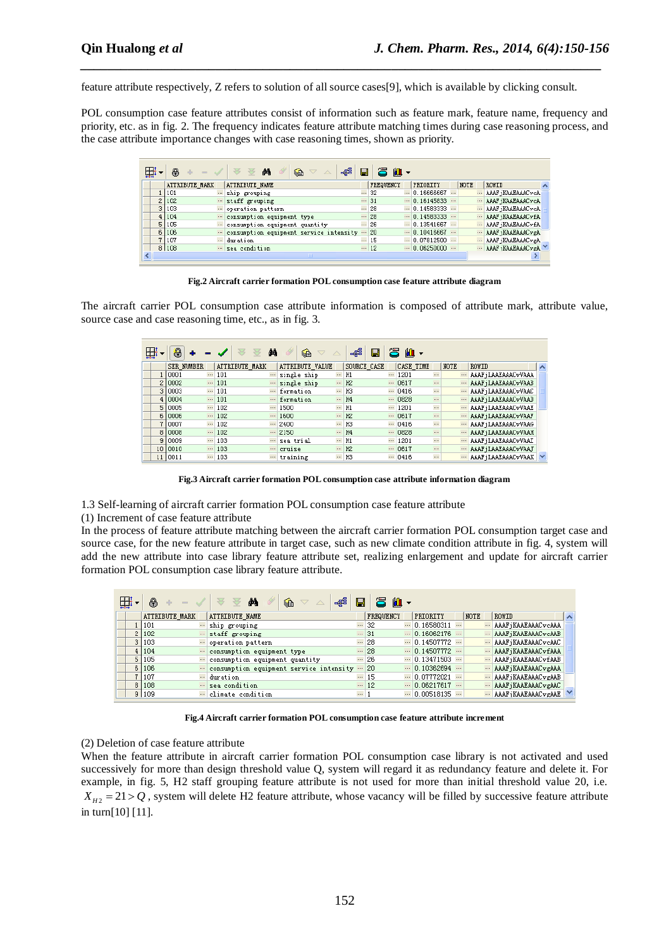feature attribute respectively, Z refers to solution of all source cases[9], which is available by clicking consult.

*\_\_\_\_\_\_\_\_\_\_\_\_\_\_\_\_\_\_\_\_\_\_\_\_\_\_\_\_\_\_\_\_\_\_\_\_\_\_\_\_\_\_\_\_\_\_\_\_\_\_\_\_\_\_\_\_\_\_\_\_\_\_\_\_\_\_\_\_\_\_\_\_\_\_\_\_\_*

POL consumption case feature attributes consist of information such as feature mark, feature name, frequency and priority, etc. as in fig. 2. The frequency indicates feature attribute matching times during case reasoning process, and the case attribute importance changes with case reasoning times, shown as priority.

|    | e              | -88<br>φh<br>€<br>$\triangledown$         | 딥        | 冯<br>$\mathbf{u}$ |          |                    |          |       |                   |  |
|----|----------------|-------------------------------------------|----------|-------------------|----------|--------------------|----------|-------|-------------------|--|
|    | ATTRIBUTE MARK | <b>ATTRIBUTE NAME</b>                     |          | <b>FREQUENCY</b>  |          | PRIORITY           | NOTE     | ROWID |                   |  |
|    | 101            | ship grouping                             |          | $-32$             |          | $-$ 0.16666667 $-$ | $\cdots$ |       | AAAF ¡KAAEAAACvcA |  |
|    | 2 102          | staff grouping                            |          | $-31$             | $\cdots$ | 0.16145833         |          |       | AAAF ¡KAAEAAACvcA |  |
| 31 | 103            | operation pattern                         |          | $\cdots$ 28       |          | $- 0.14583333 -$   |          |       | AAAF iKAAEAAACvcA |  |
|    | 4 104          | consumption equipment type                |          | $-28$             |          | $-0.14583333$      | $\cdots$ |       | AAAF ¡KAAEAAACvfA |  |
| 51 | 105            | " consumption equipment quantity          |          | $-26$             |          | $- 0.13541667 -$   |          |       | AAAF iKAAEAAACvfA |  |
|    | 6 106          | " consumption equipment service intensity | $\cdots$ | 20                |          | $-10.10416667$     |          |       | AAAF ¡KAAEAAACvgA |  |
|    | 107            | duration                                  |          | $-15$             | $\cdots$ | 0.07812500         |          |       | AAAF ¡KAAEAAACvgA |  |
|    | 8 108          | sea condition                             |          | $\cdots$ 12       |          | $-10.06250000$     |          |       | AAAF ¡KAAEAAACvgA |  |
|    |                | THE.                                      |          |                   |          |                    |          |       |                   |  |

**Fig.2 Aircraft carrier formation POL consumption case feature attribute diagram**

The aircraft carrier POL consumption case attribute information is composed of attribute mark, attribute value, source case and case reasoning time, etc., as in fig. 3.

| 曲  | 8                 |          |                | άå       | €               |          | 4ge<br>н       | 宍        | 肌・               |          |                     |  |
|----|-------------------|----------|----------------|----------|-----------------|----------|----------------|----------|------------------|----------|---------------------|--|
|    | <b>SER NUMBER</b> |          | ATTRIBUTE MARK |          | ATTRIBUTE VALUE |          | SOURCE CASE    |          | CASE TIME        | NOTE     | ROWID               |  |
|    | 0001              | $\cdots$ | 101            |          | single ship     |          | H1             |          | <br>1201         |          | AAAF ¡LAAEAAACvVAAA |  |
|    | 10002             |          | 101            | 1.11     | single ship     | $\cdots$ | H2             | 1.1.1    | <br>0617         | $\cdots$ | AAAF ¡LAAEAAACvVAAB |  |
| 3  | 10003             | $\cdots$ | 101            | $\cdots$ | formation       | $\cdots$ | Ю              |          | <br>0416         |          | AAAF ¡LAAEAAACvVAAC |  |
|    | 4 0004            | $\cdots$ | 101            | $\cdots$ | formation       |          | H <sub>4</sub> | $\cdots$ | <br>0828         |          | AAAF ¡LAAEAAACvVAAD |  |
|    | 5 0005            | $\cdots$ | 102            | $\cdots$ | 1500            | $\cdots$ | H1             | $\cdots$ | <br>1201         |          | AAAF jLAAEAAACvVAAE |  |
| 6  | 10006             | $\cdots$ | 102            | $\cdots$ | 1600            |          | H2             | $\cdots$ | <br>0617         |          | AAAF ¡LAAEAAACvVAAF |  |
|    | 10007             | $\cdots$ | 102            | $\cdots$ | 2400            | $\cdots$ | ЮB             | $\cdots$ | <br>0416         |          | AAAF ¡LAAEAAACvVAAG |  |
|    | 8 0008            |          | 102            | $\cdots$ | 2150            | $\cdots$ | H <sub>4</sub> |          | <br>0828         |          | AAAF ¡LAAEAAACvVAAH |  |
| 9  | 0009              | $\cdots$ | 103            | $\cdots$ | sea trial       | $\cdots$ | H1             | $\cdots$ | <br>1201         |          | AAAF jLAAEAAACvVAAI |  |
| 10 | 0010              | $\cdots$ | 103            | $\cdots$ | cruise          |          | H2             | 1.11     | 0617<br>$\cdots$ | $\cdots$ | AAAF ¡LAAEAAACvVAAJ |  |
| 11 | 10011             |          | 103            | $\cdots$ | training        |          | Ю              |          | <br>0416         |          | AAAF ¡LAAEAAACvVAAK |  |

**Fig.3 Aircraft carrier formation POL consumption case attribute information diagram**

1.3 Self-learning of aircraft carrier formation POL consumption case feature attribute

(1) Increment of case feature attribute

In the process of feature attribute matching between the aircraft carrier formation POL consumption target case and source case, for the new feature attribute in target case, such as new climate condition attribute in fig. 4, system will add the new attribute into case library feature attribute set, realizing enlargement and update for aircraft carrier formation POL consumption case library feature attribute.

| 曲 | e              |          | ಂ∉ಕೆ<br>М<br>€<br>$\triangledown$       | Ч        | 呂<br>$M \cdot$ |          |              |      |                     |  |
|---|----------------|----------|-----------------------------------------|----------|----------------|----------|--------------|------|---------------------|--|
|   | ATTRIBUTE MARK |          | <b>ATTRIBUTE NAME</b>                   |          | FREQUENCY      |          | PRIORITY     | NOTE | <b>ROWID</b>        |  |
|   | 101            |          | ship grouping                           | $\cdots$ | 32             |          | 0.16580311   |      | AAAF iKAAEAAACvcAAA |  |
|   | 2 102          |          | staff grouping                          |          | $-31$          | $\cdots$ | $0.16062176$ |      | AAAF ¡KAAEAAACvcAAB |  |
|   | 3 103          |          | " operation pattern                     |          | $-28$          | $\cdots$ | 0.14507772   |      | AAAF iKAAEAAACvcAAC |  |
|   | 4 104          |          | consumption equipment type              |          | $-28$          | $\cdots$ | 0.14507772   |      | AAAF iKAAEAAACvEAAA |  |
|   | 5 105          |          | " consumption equipment quantity        |          | $-26$          | $\cdots$ | 0.13471503   |      | AAAF ¡KAAEAAACv£AAB |  |
|   | 6 106          | $\cdots$ | consumption equipment service intensity |          | 20             |          | 0.10362694   |      | AAAF ¡KAAEAAACvgAAA |  |
|   | ' 1107         | $\cdots$ | duration                                |          | $-15$          | $\cdots$ | $0.07772021$ |      | AAAF ¡KAAEAAACvgAAB |  |
|   | 8 108          | $\cdots$ | sea condition                           |          | $\cdots$ 12    | $\cdots$ | 0.06217617   |      | AAAF jKAAEAAACvgAAC |  |
|   | 9 109          |          | " climate condition                     | $\cdots$ |                | $\cdots$ | 0.00518135   |      | AAAF ¡KAAEAAACvgAAE |  |

**Fig.4 Aircraft carrier formation POL consumption case feature attribute increment**

# (2) Deletion of case feature attribute

When the feature attribute in aircraft carrier formation POL consumption case library is not activated and used successively for more than design threshold value Q, system will regard it as redundancy feature and delete it. For example, in fig. 5, H2 staff grouping feature attribute is not used for more than initial threshold value 20, i.e.  $X_{H2} = 21 > Q$ , system will delete H2 feature attribute, whose vacancy will be filled by successive feature attribute in turn[10] [11].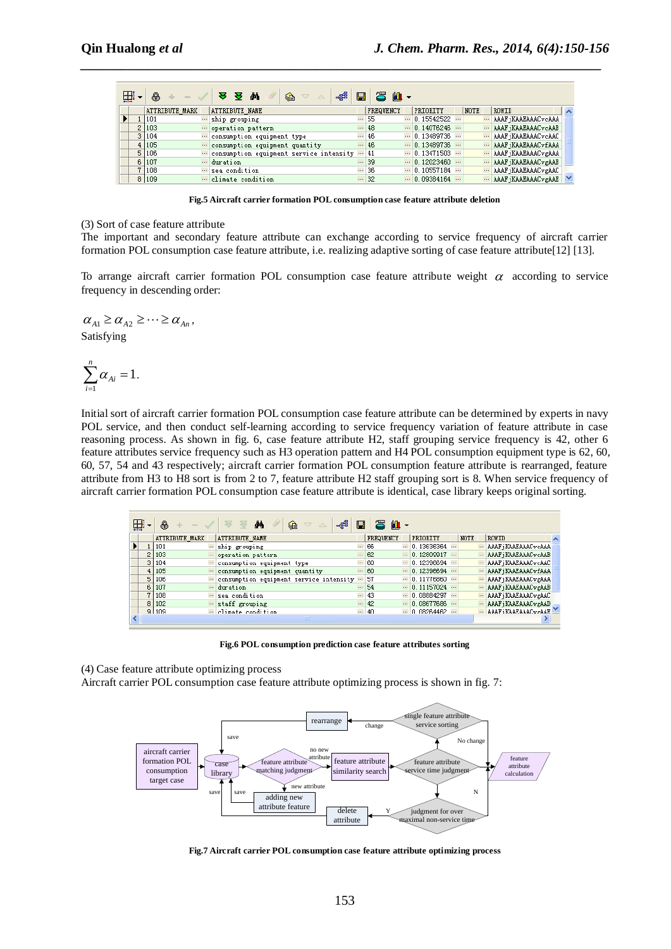| 亜 | 8                     |          | ⊰<br>44<br>उ<br>€<br>$\triangledown$    | $\blacksquare$ | 26 M -           |          |              |             |                                  |  |
|---|-----------------------|----------|-----------------------------------------|----------------|------------------|----------|--------------|-------------|----------------------------------|--|
|   | <b>ATTRIBUTE MARK</b> |          | ATTRIBUTE NAME                          |                | <b>FREQUENCY</b> |          | PRIORITY     | <b>NOTE</b> | ROWID                            |  |
|   | 101                   |          | ship grouping                           | $\cdots$       | 55               | $\cdots$ | 0.15542522   |             | AAAF ¡KAAEAAACvcAAA              |  |
|   | 2 103                 |          | operation pattern                       |                | 48               |          | 0.14076246   |             | AAAF ¡KAAEAAACvcAAB              |  |
|   | 3 104                 | $\cdots$ | consumption equipment type              | $\cdots$       | 46               | $\cdots$ | $0.13489736$ |             | AAAF iKAAEAAACvcAAC              |  |
|   | 4 105                 | $\cdots$ | consumption equipment quantity          |                | $\cdots$ 46      |          | 0.13489736   |             | AAAF iKAAEAAACvfAAA              |  |
|   | 5 106                 |          | consumption equipment service intensity |                | 41               | $\cdots$ | 0.13471503   |             | AAAF ¡KAAEAAACvgAAA              |  |
|   | 6 107                 | $\cdots$ | duration                                |                | $-139$           | $\cdots$ | 0.12023460   |             | AAAF ¡KAAEAAACvgAAB              |  |
|   | 1108                  |          | sea condition.                          | $\ldots$       | 36               |          | 0.10557184   |             | AAAF jKAAEAAACvgAAC              |  |
|   | 8 109                 |          | climate condition                       |                | $-32$            | $\cdots$ | 0.09384164   |             | $\cdots$ AAAF iKAAEAAAC $v$ gAAE |  |

*\_\_\_\_\_\_\_\_\_\_\_\_\_\_\_\_\_\_\_\_\_\_\_\_\_\_\_\_\_\_\_\_\_\_\_\_\_\_\_\_\_\_\_\_\_\_\_\_\_\_\_\_\_\_\_\_\_\_\_\_\_\_\_\_\_\_\_\_\_\_\_\_\_\_\_\_\_*

**Fig.5 Aircraft carrier formation POL consumption case feature attribute deletion**

(3) Sort of case feature attribute

The important and secondary feature attribute can exchange according to service frequency of aircraft carrier formation POL consumption case feature attribute, i.e. realizing adaptive sorting of case feature attribute[12] [13].

To arrange aircraft carrier formation POL consumption case feature attribute weight  $\alpha$  according to service frequency in descending order:

 $\alpha_{A1} \geq \alpha_{A2} \geq \cdots \geq \alpha_{An}$ Satisfying

$$
\sum_{i=1}^n \alpha_{Ai} = 1.
$$

Initial sort of aircraft carrier formation POL consumption case feature attribute can be determined by experts in navy POL service, and then conduct self-learning according to service frequency variation of feature attribute in case reasoning process. As shown in fig. 6, case feature attribute H2, staff grouping service frequency is 42, other 6 feature attributes service frequency such as H3 operation pattern and H4 POL consumption equipment type is 62, 60, 60, 57, 54 and 43 respectively; aircraft carrier formation POL consumption feature attribute is rearranged, feature attribute from H3 to H8 sort is from 2 to 7, feature attribute H2 staff grouping sort is 8. When service frequency of aircraft carrier formation POL consumption case feature attribute is identical, case library keeps original sorting.

|    | A              |          | ⊰∰<br>鸸<br>€<br>$\triangledown$             | 冒 | 呂<br>$\mathbf{a}$ |                              |          |      |                      |
|----|----------------|----------|---------------------------------------------|---|-------------------|------------------------------|----------|------|----------------------|
|    | ATTRIBUTE MARK |          | ATTRIBUTE NAME                              |   | <b>FREQUENCY</b>  | PRIORITY                     |          | NOTE | ROWID                |
|    | 101            | $\cdots$ | ship grouping                               |   | $- 66$            | $- 0.13636364 -$             |          |      | AAAF iKAAEAAACvcAAA  |
|    | 103            | $\cdots$ | operation pattern                           |   | $-62$             | <br>0.12809917               | $\cdots$ |      | AAAF iKAAEAAACvcAAB  |
| 3. | 104            |          | consumption equipment type                  |   | $- 60$            | $\cdots$ 0.12396694 $\cdots$ |          |      | AAAF ¡KAAEAAACvcAAC  |
|    | 4 105          |          | consumption equipment quantity              |   | $- 60$            | $\cdots$ 0.12396694 $\cdots$ |          |      | AAAF ¡KAAEAAACvfAAA  |
|    | 5 106          |          | w consumption equipment service intensity w |   | 57                | $- 0.11776860 -$             |          |      | AAAF iKAAEAAACvzAAA  |
| 6. | 107            | $\cdots$ | duration                                    |   | $-54$             | $-10.11157024 -$             |          |      | AAAF ¡KAAEAAACvgAAB  |
|    | 108            | $\cdots$ | sea condition                               |   | $-43$             | $-10.08884297 -$             |          |      | AAAF ¡KAAEAAACvgAAC  |
| 8. | 102            |          | " staff grouping                            |   | $-42$             | $-10.08677686$               |          |      | AAAF jKAAEAAACvgAAD  |
|    | 91109          |          | welclimate condition                        |   | $-40$             | $-$ 0.08264462               | $\cdots$ |      | AAAF (KAAEAAACveAAE) |
|    |                |          | <b>TILLE</b>                                |   |                   |                              |          |      |                      |

**Fig.6 POL consumption prediction case feature attributes sorting**

(4) Case feature attribute optimizing process

Aircraft carrier POL consumption case feature attribute optimizing process is shown in fig. 7:



**Fig.7 Aircraft carrier POL consumption case feature attribute optimizing process**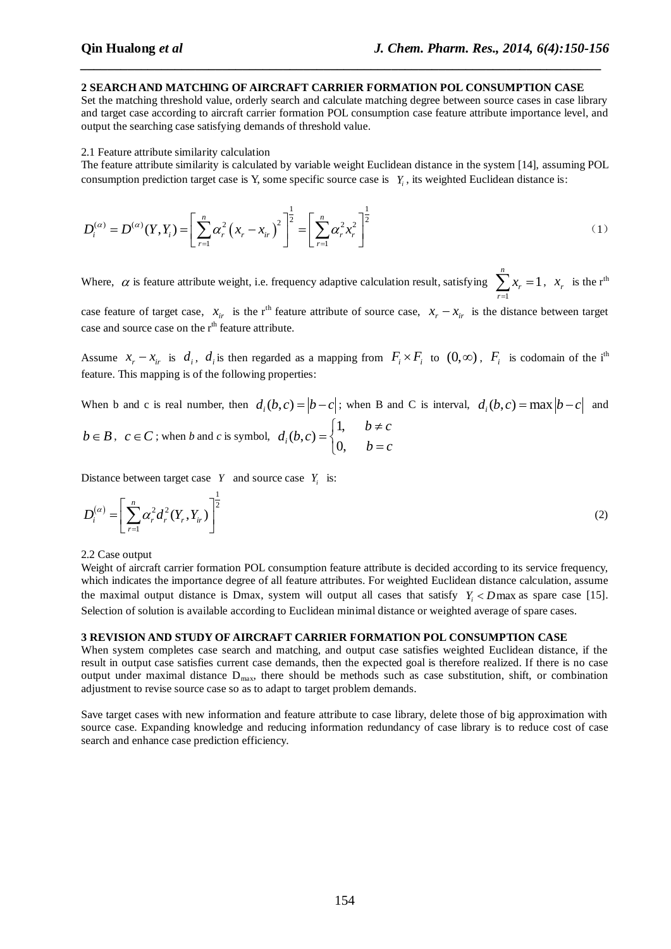# **2 SEARCH AND MATCHING OF AIRCRAFT CARRIER FORMATION POL CONSUMPTION CASE**

*\_\_\_\_\_\_\_\_\_\_\_\_\_\_\_\_\_\_\_\_\_\_\_\_\_\_\_\_\_\_\_\_\_\_\_\_\_\_\_\_\_\_\_\_\_\_\_\_\_\_\_\_\_\_\_\_\_\_\_\_\_\_\_\_\_\_\_\_\_\_\_\_\_\_\_\_\_*

Set the matching threshold value, orderly search and calculate matching degree between source cases in case library and target case according to aircraft carrier formation POL consumption case feature attribute importance level, and output the searching case satisfying demands of threshold value.

### 2.1 Feature attribute similarity calculation

The feature attribute similarity is calculated by variable weight Euclidean distance in the system [14], assuming POL consumption prediction target case is Y, some specific source case is  $Y_i$ , its weighted Euclidean distance is:

consumption prediction target case is Y, some specific source case is 
$$
Y_i
$$
, its weighted Euclidean distance is:  
\n
$$
D_i^{(\alpha)} = D^{(\alpha)}(Y, Y_i) = \left[ \sum_{r=1}^n \alpha_r^2 (x_r - x_{ir})^2 \right]^{\frac{1}{2}} = \left[ \sum_{r=1}^n \alpha_r^2 x_r^2 \right]^{\frac{1}{2}}
$$
\n(1)

Where,  $\alpha$  is feature attribute weight, i.e. frequency adaptive calculation result, satisfying  $\sum x_r = 1$ 1 *n r x r*  $\sum_{r=1}^{n} x_r = 1$ ,  $x_r$  is the r<sup>th</sup> case feature of target case,  $x_i$  is the r<sup>th</sup> feature attribute of source case,  $x_r - x_{ir}$  is the distance between target case and source case on the  $r<sup>th</sup>$  feature attribute.

Assume  $x_r - x_{ir}$  is  $d_i$ ,  $d_i$  is then regarded as a mapping from  $F_i \times F_i$  to  $(0, \infty)$ ,  $F_i$  is codomain of the i<sup>th</sup> feature. This mapping is of the following properties:

When b and c is real number, then  $d_i(b,c) = |b-c|$ ; when B and C is interval,  $d_i(b,c) = \max |b-c|$  and

$$
b \in B
$$
,  $c \in C$ ; when *b* and *c* is symbol,  $d_i(b,c) = \begin{cases} 1, & b \neq c \\ 0, & b = c \end{cases}$ 

Distance between target case  $Y$  and source case  $Y_i$  is:

$$
D_i^{(\alpha)} = \left[ \sum_{r=1}^n \alpha_r^2 d_r^2 (Y_r, Y_{ir}) \right]^{\frac{1}{2}}
$$
 (2)

# 2.2 Case output

Weight of aircraft carrier formation POL consumption feature attribute is decided according to its service frequency, which indicates the importance degree of all feature attributes. For weighted Euclidean distance calculation, assume the maximal output distance is Dmax, system will output all cases that satisfy  $Y_i$  < Dmax as spare case [15]. Selection of solution is available according to Euclidean minimal distance or weighted average of spare cases.

# **3 REVISION AND STUDY OF AIRCRAFT CARRIER FORMATION POL CONSUMPTION CASE**

When system completes case search and matching, and output case satisfies weighted Euclidean distance, if the result in output case satisfies current case demands, then the expected goal is therefore realized. If there is no case output under maximal distance  $D_{\text{max}}$ , there should be methods such as case substitution, shift, or combination adjustment to revise source case so as to adapt to target problem demands.

Save target cases with new information and feature attribute to case library, delete those of big approximation with source case. Expanding knowledge and reducing information redundancy of case library is to reduce cost of case search and enhance case prediction efficiency.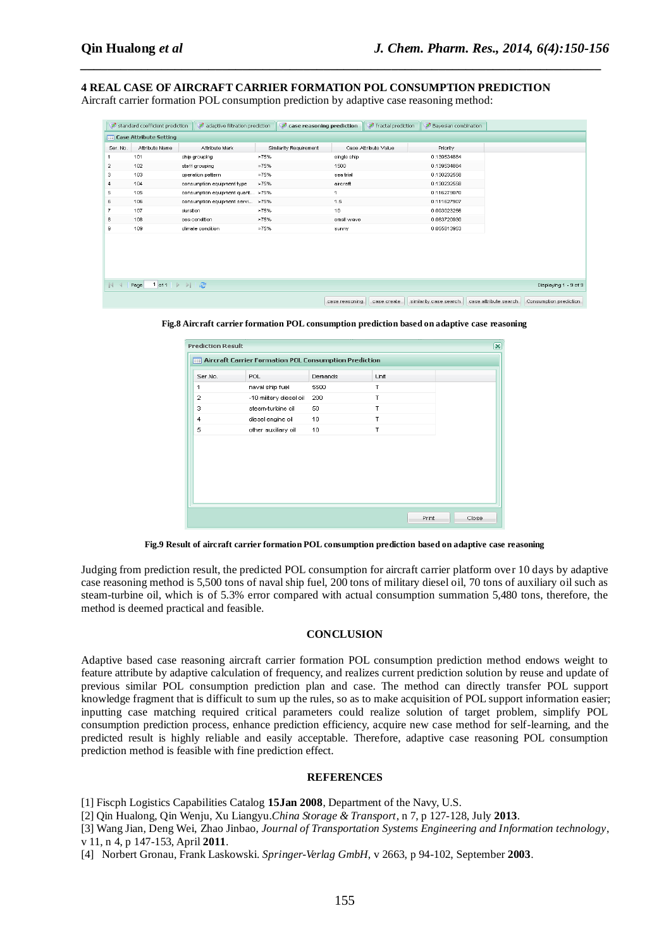**4 REAL CASE OF AIRCRAFT CARRIER FORMATION POL CONSUMPTION PREDICTION** Aircraft carrier formation POL consumption prediction by adaptive case reasoning method:

*\_\_\_\_\_\_\_\_\_\_\_\_\_\_\_\_\_\_\_\_\_\_\_\_\_\_\_\_\_\_\_\_\_\_\_\_\_\_\_\_\_\_\_\_\_\_\_\_\_\_\_\_\_\_\_\_\_\_\_\_\_\_\_\_\_\_\_\_\_\_\_\_\_\_\_\_\_*

|                | standard coefficient prediction   | adaptive filtration prediction   | case reasoning prediction |                |                      | fractal prediction Bayesian combination |                       |                        |
|----------------|-----------------------------------|----------------------------------|---------------------------|----------------|----------------------|-----------------------------------------|-----------------------|------------------------|
|                | <b>THE Case Attribute Setting</b> |                                  |                           |                |                      |                                         |                       |                        |
| Ser. No.       | Attribute Name                    | Attribute Mark                   | Similarity Requirement    |                | Case Attribute Value | Priority                                |                       |                        |
|                | 101                               | ship grouping                    | >75%                      | single ship    |                      | 0.139534884                             |                       |                        |
| $\overline{a}$ | 102                               | staff grouping                   | >75%                      | 1500           |                      | 0.139534884                             |                       |                        |
| 3              | 103                               | operation pattern                | >75%                      | sea trial      |                      | 0.130232558                             |                       |                        |
| 4              | 104                               | consumption equipment type       | >75%                      | aircraft       |                      | 0.130232558                             |                       |                        |
| 5              | 105                               | consumption equipment quant >75% |                           | 1              |                      | 0.116279070                             |                       |                        |
| 6              | 106                               | consumption equipment servi >75% |                           | 1.5            |                      | 0.111627907                             |                       |                        |
| $\overline{7}$ | 107                               | duration                         | >75%                      | 10             |                      | 0.093023256                             |                       |                        |
| 8              | 108                               | sea condition                    | >75%                      | small wave     |                      | 0.083720930                             |                       |                        |
| 9              | 109                               | climate condition                | >75%                      | sunny          |                      | 0.055813953                             |                       |                        |
|                |                                   |                                  |                           |                |                      |                                         |                       |                        |
|                |                                   |                                  |                           |                |                      |                                         |                       |                        |
|                |                                   |                                  |                           |                |                      |                                         |                       |                        |
|                |                                   |                                  |                           |                |                      |                                         |                       |                        |
| $\mathbb{R}$   | Page                              |                                  |                           |                |                      |                                         |                       | Displaying 1 - 9 of 9  |
|                |                                   |                                  |                           | case reasoning | case create          | similarity case search                  | case attribute search | Consumption prediction |

**Fig.8 Aircraft carrier formation POL consumption prediction based on adaptive case reasoning**

|                | <b>Aircraft Carrier Formation POL Consumption Prediction</b> |         |      |  |
|----------------|--------------------------------------------------------------|---------|------|--|
| Ser.No.        | POL                                                          | Demands | Unit |  |
| 1              | naval ship fuel                                              | 5500    | T    |  |
| $\overline{2}$ | -10 military diesel oil                                      | 200     | T    |  |
| 3              | steam-turbine oil                                            | 50      | T    |  |
| $\overline{4}$ | diesel engine oil                                            | 10      | T    |  |
| 5              | other auxiliary oil                                          | 10      | T    |  |
|                |                                                              |         |      |  |
|                |                                                              |         |      |  |
|                |                                                              |         |      |  |
|                |                                                              |         |      |  |
|                |                                                              |         |      |  |
|                |                                                              |         |      |  |
|                |                                                              |         |      |  |

**Fig.9 Result of aircraft carrier formation POL consumption prediction based on adaptive case reasoning**

Judging from prediction result, the predicted POL consumption for aircraft carrier platform over 10 days by adaptive case reasoning method is 5,500 tons of naval ship fuel, 200 tons of military diesel oil, 70 tons of auxiliary oil such as steam-turbine oil, which is of 5.3% error compared with actual consumption summation 5,480 tons, therefore, the method is deemed practical and feasible.

### **CONCLUSION**

Adaptive based case reasoning aircraft carrier formation POL consumption prediction method endows weight to feature attribute by adaptive calculation of frequency, and realizes current prediction solution by reuse and update of previous similar POL consumption prediction plan and case. The method can directly transfer POL support knowledge fragment that is difficult to sum up the rules, so as to make acquisition of POL support information easier; inputting case matching required critical parameters could realize solution of target problem, simplify POL consumption prediction process, enhance prediction efficiency, acquire new case method for self-learning, and the predicted result is highly reliable and easily acceptable. Therefore, adaptive case reasoning POL consumption prediction method is feasible with fine prediction effect.

#### **REFERENCES**

[1] Fiscph Logistics Capabilities Catalog **15Jan 2008**, Department of the Navy, U.S.

[2] Qin Hualong, Qin Wenju, Xu Liangyu.*China Storage & Transport*, n 7, p 127-128, July **2013**.

[3] Wang Jian, Deng Wei, Zhao Jinbao, *Journal of Transportation Systems Engineering and Information technology*, v 11, n 4, p 147-153, April **2011**.

[4] Norbert Gronau, Frank Laskowski. *Springer-Verlag GmbH*, v 2663, p 94-102, September **2003**.